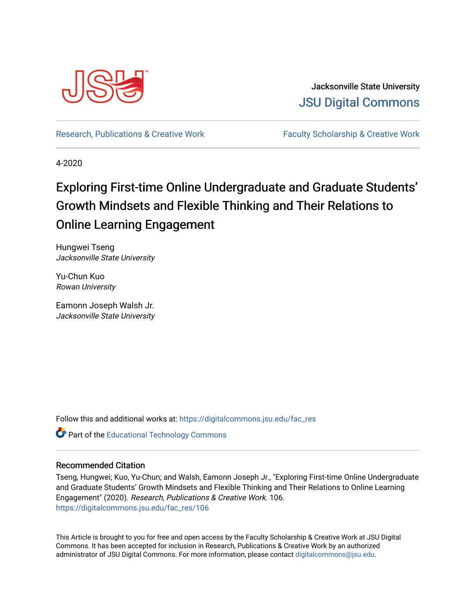

Jacksonville State University [JSU Digital Commons](https://digitalcommons.jsu.edu/) 

[Research, Publications & Creative Work](https://digitalcommons.jsu.edu/fac_res) Faculty Scholarship & Creative Work

4-2020

# Exploring First-time Online Undergraduate and Graduate Students' Growth Mindsets and Flexible Thinking and Their Relations to Online Learning Engagement

Hungwei Tseng Jacksonville State University

Yu-Chun Kuo Rowan University

Eamonn Joseph Walsh Jr. Jacksonville State University

Follow this and additional works at: [https://digitalcommons.jsu.edu/fac\\_res](https://digitalcommons.jsu.edu/fac_res?utm_source=digitalcommons.jsu.edu%2Ffac_res%2F106&utm_medium=PDF&utm_campaign=PDFCoverPages) 

**Part of the Educational Technology Commons** 

# Recommended Citation

Tseng, Hungwei; Kuo, Yu-Chun; and Walsh, Eamonn Joseph Jr., "Exploring First-time Online Undergraduate and Graduate Students' Growth Mindsets and Flexible Thinking and Their Relations to Online Learning Engagement" (2020). Research, Publications & Creative Work. 106. [https://digitalcommons.jsu.edu/fac\\_res/106](https://digitalcommons.jsu.edu/fac_res/106?utm_source=digitalcommons.jsu.edu%2Ffac_res%2F106&utm_medium=PDF&utm_campaign=PDFCoverPages) 

This Article is brought to you for free and open access by the Faculty Scholarship & Creative Work at JSU Digital Commons. It has been accepted for inclusion in Research, Publications & Creative Work by an authorized administrator of JSU Digital Commons. For more information, please contact [digitalcommons@jsu.edu.](mailto:digitalcommons@jsu.edu)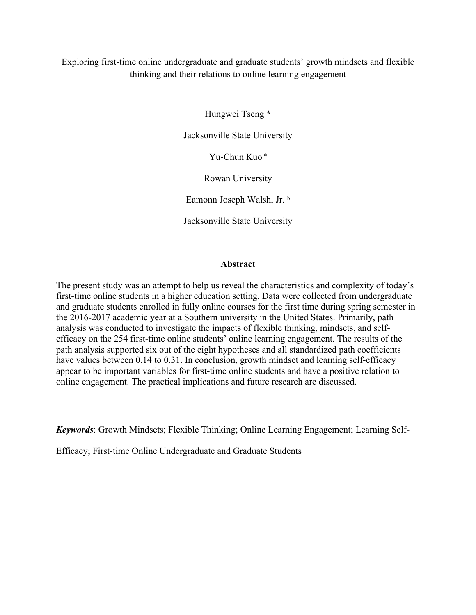Exploring first-time online undergraduate and graduate students' growth mindsets and flexible thinking and their relations to online learning engagement

Hungwei Tseng **\***

Jacksonville State University

Yu-Chun Kuo **ª**

Rowan University

Eamonn Joseph Walsh, Jr. b

Jacksonville State University

# **Abstract**

The present study was an attempt to help us reveal the characteristics and complexity of today's first-time online students in a higher education setting. Data were collected from undergraduate and graduate students enrolled in fully online courses for the first time during spring semester in the 2016-2017 academic year at a Southern university in the United States. Primarily, path analysis was conducted to investigate the impacts of flexible thinking, mindsets, and selfefficacy on the 254 first-time online students' online learning engagement. The results of the path analysis supported six out of the eight hypotheses and all standardized path coefficients have values between 0.14 to 0.31. In conclusion, growth mindset and learning self-efficacy appear to be important variables for first-time online students and have a positive relation to online engagement. The practical implications and future research are discussed.

*Keywords*: Growth Mindsets; Flexible Thinking; Online Learning Engagement; Learning Self-

Efficacy; First-time Online Undergraduate and Graduate Students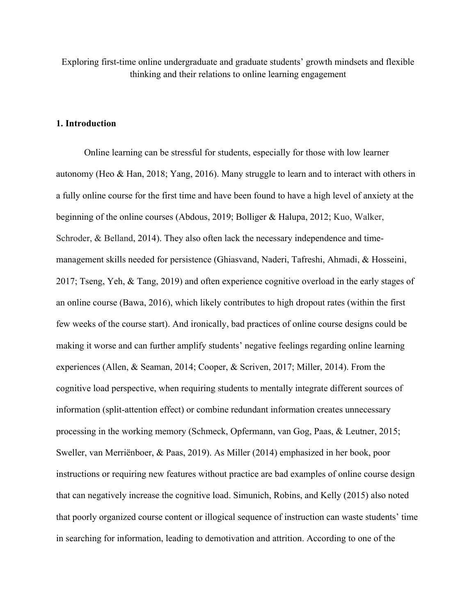Exploring first-time online undergraduate and graduate students' growth mindsets and flexible thinking and their relations to online learning engagement

# **1. Introduction**

Online learning can be stressful for students, especially for those with low learner autonomy (Heo & Han, 2018; Yang, 2016). Many struggle to learn and to interact with others in a fully online course for the first time and have been found to have a high level of anxiety at the beginning of the online courses (Abdous, 2019; Bolliger & Halupa, 2012; Kuo, Walker, Schroder, & Belland, 2014). They also often lack the necessary independence and timemanagement skills needed for persistence (Ghiasvand, Naderi, Tafreshi, Ahmadi, & Hosseini, 2017; Tseng, Yeh, & Tang, 2019) and often experience cognitive overload in the early stages of an online course (Bawa, 2016), which likely contributes to high dropout rates (within the first few weeks of the course start). And ironically, bad practices of online course designs could be making it worse and can further amplify students' negative feelings regarding online learning experiences (Allen, & Seaman, 2014; Cooper, & Scriven, 2017; Miller, 2014). From the cognitive load perspective, when requiring students to mentally integrate different sources of information (split-attention effect) or combine redundant information creates unnecessary processing in the working memory (Schmeck, Opfermann, van Gog, Paas, & Leutner, 2015; Sweller, van Merriënboer, & Paas, 2019). As Miller (2014) emphasized in her book, poor instructions or requiring new features without practice are bad examples of online course design that can negatively increase the cognitive load. Simunich, Robins, and Kelly (2015) also noted that poorly organized course content or illogical sequence of instruction can waste students' time in searching for information, leading to demotivation and attrition. According to one of the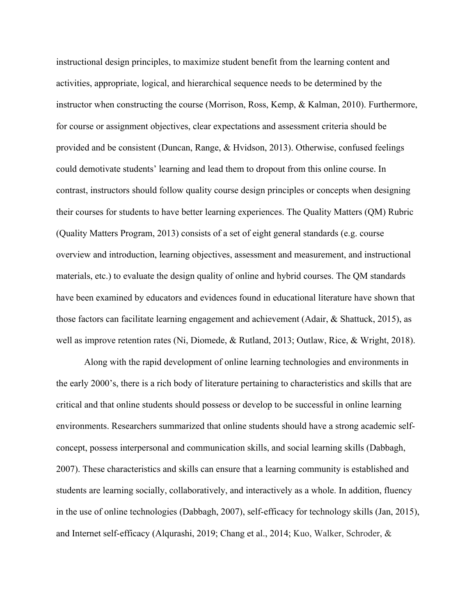instructional design principles, to maximize student benefit from the learning content and activities, appropriate, logical, and hierarchical sequence needs to be determined by the instructor when constructing the course (Morrison, Ross, Kemp, & Kalman, 2010). Furthermore, for course or assignment objectives, clear expectations and assessment criteria should be provided and be consistent (Duncan, Range, & Hvidson, 2013). Otherwise, confused feelings could demotivate students' learning and lead them to dropout from this online course. In contrast, instructors should follow quality course design principles or concepts when designing their courses for students to have better learning experiences. The Quality Matters (QM) Rubric (Quality Matters Program, 2013) consists of a set of eight general standards (e.g. course overview and introduction, learning objectives, assessment and measurement, and instructional materials, etc.) to evaluate the design quality of online and hybrid courses. The QM standards have been examined by educators and evidences found in educational literature have shown that those factors can facilitate learning engagement and achievement (Adair, & Shattuck, 2015), as well as improve retention rates (Ni, Diomede, & Rutland, 2013; Outlaw, Rice, & Wright, 2018).

Along with the rapid development of online learning technologies and environments in the early 2000's, there is a rich body of literature pertaining to characteristics and skills that are critical and that online students should possess or develop to be successful in online learning environments. Researchers summarized that online students should have a strong academic selfconcept, possess interpersonal and communication skills, and social learning skills (Dabbagh, 2007). These characteristics and skills can ensure that a learning community is established and students are learning socially, collaboratively, and interactively as a whole. In addition, fluency in the use of online technologies (Dabbagh, 2007), self-efficacy for technology skills (Jan, 2015), and Internet self-efficacy (Alqurashi, 2019; Chang et al., 2014; Kuo, Walker, Schroder, &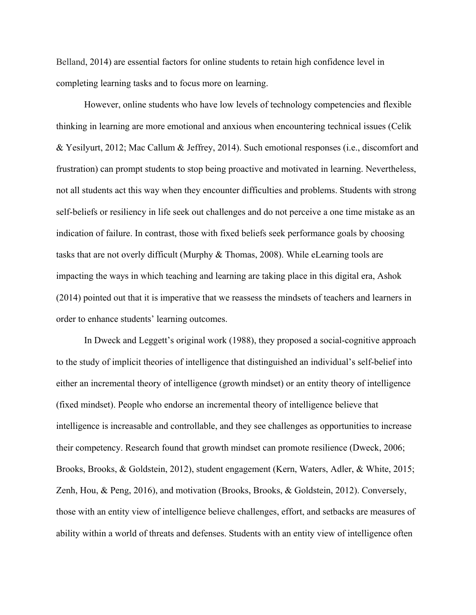Belland, 2014) are essential factors for online students to retain high confidence level in completing learning tasks and to focus more on learning.

However, online students who have low levels of technology competencies and flexible thinking in learning are more emotional and anxious when encountering technical issues (Celik & Yesilyurt, 2012; Mac Callum & Jeffrey, 2014). Such emotional responses (i.e., discomfort and frustration) can prompt students to stop being proactive and motivated in learning. Nevertheless, not all students act this way when they encounter difficulties and problems. Students with strong self-beliefs or resiliency in life seek out challenges and do not perceive a one time mistake as an indication of failure. In contrast, those with fixed beliefs seek performance goals by choosing tasks that are not overly difficult (Murphy & Thomas, 2008). While eLearning tools are impacting the ways in which teaching and learning are taking place in this digital era, Ashok (2014) pointed out that it is imperative that we reassess the mindsets of teachers and learners in order to enhance students' learning outcomes.

In Dweck and Leggett's original work (1988), they proposed a social-cognitive approach to the study of implicit theories of intelligence that distinguished an individual's self-belief into either an incremental theory of intelligence (growth mindset) or an entity theory of intelligence (fixed mindset). People who endorse an incremental theory of intelligence believe that intelligence is increasable and controllable, and they see challenges as opportunities to increase their competency. Research found that growth mindset can promote resilience (Dweck, 2006; Brooks, Brooks, & Goldstein, 2012), student engagement (Kern, Waters, Adler, & White, 2015; Zenh, Hou, & Peng, 2016), and motivation (Brooks, Brooks, & Goldstein, 2012). Conversely, those with an entity view of intelligence believe challenges, effort, and setbacks are measures of ability within a world of threats and defenses. Students with an entity view of intelligence often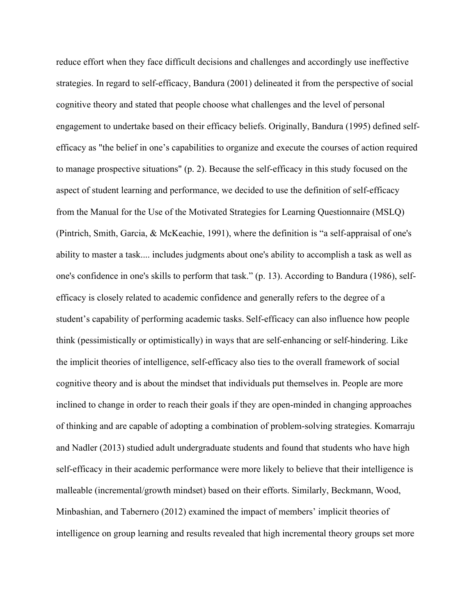reduce effort when they face difficult decisions and challenges and accordingly use ineffective strategies. In regard to self-efficacy, Bandura (2001) delineated it from the perspective of social cognitive theory and stated that people choose what challenges and the level of personal engagement to undertake based on their efficacy beliefs. Originally, Bandura (1995) defined selfefficacy as "the belief in one's capabilities to organize and execute the courses of action required to manage prospective situations" (p. 2). Because the self-efficacy in this study focused on the aspect of student learning and performance, we decided to use the definition of self-efficacy from the Manual for the Use of the Motivated Strategies for Learning Questionnaire (MSLQ) (Pintrich, Smith, Garcia, & McKeachie, 1991), where the definition is "a self-appraisal of one's ability to master a task.... includes judgments about one's ability to accomplish a task as well as one's confidence in one's skills to perform that task." (p. 13). According to Bandura (1986), selfefficacy is closely related to academic confidence and generally refers to the degree of a student's capability of performing academic tasks. Self-efficacy can also influence how people think (pessimistically or optimistically) in ways that are self-enhancing or self-hindering. Like the implicit theories of intelligence, self-efficacy also ties to the overall framework of social cognitive theory and is about the mindset that individuals put themselves in. People are more inclined to change in order to reach their goals if they are open-minded in changing approaches of thinking and are capable of adopting a combination of problem-solving strategies. Komarraju and Nadler (2013) studied adult undergraduate students and found that students who have high self-efficacy in their academic performance were more likely to believe that their intelligence is malleable (incremental/growth mindset) based on their efforts. Similarly, Beckmann, Wood, Minbashian, and Tabernero (2012) examined the impact of members' implicit theories of intelligence on group learning and results revealed that high incremental theory groups set more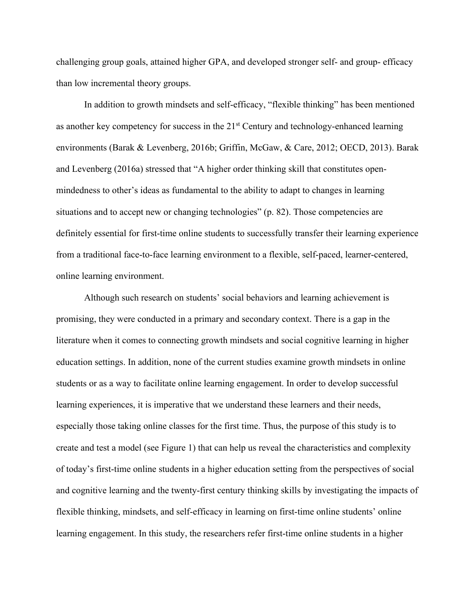challenging group goals, attained higher GPA, and developed stronger self- and group- efficacy than low incremental theory groups.

In addition to growth mindsets and self-efficacy, "flexible thinking" has been mentioned as another key competency for success in the 21<sup>st</sup> Century and technology-enhanced learning environments (Barak & Levenberg, 2016b; Griffin, McGaw, & Care, 2012; OECD, 2013). Barak and Levenberg (2016a) stressed that "A higher order thinking skill that constitutes openmindedness to other's ideas as fundamental to the ability to adapt to changes in learning situations and to accept new or changing technologies" (p. 82). Those competencies are definitely essential for first-time online students to successfully transfer their learning experience from a traditional face-to-face learning environment to a flexible, self-paced, learner-centered, online learning environment.

Although such research on students' social behaviors and learning achievement is promising, they were conducted in a primary and secondary context. There is a gap in the literature when it comes to connecting growth mindsets and social cognitive learning in higher education settings. In addition, none of the current studies examine growth mindsets in online students or as a way to facilitate online learning engagement. In order to develop successful learning experiences, it is imperative that we understand these learners and their needs, especially those taking online classes for the first time. Thus, the purpose of this study is to create and test a model (see Figure 1) that can help us reveal the characteristics and complexity of today's first-time online students in a higher education setting from the perspectives of social and cognitive learning and the twenty-first century thinking skills by investigating the impacts of flexible thinking, mindsets, and self-efficacy in learning on first-time online students' online learning engagement. In this study, the researchers refer first-time online students in a higher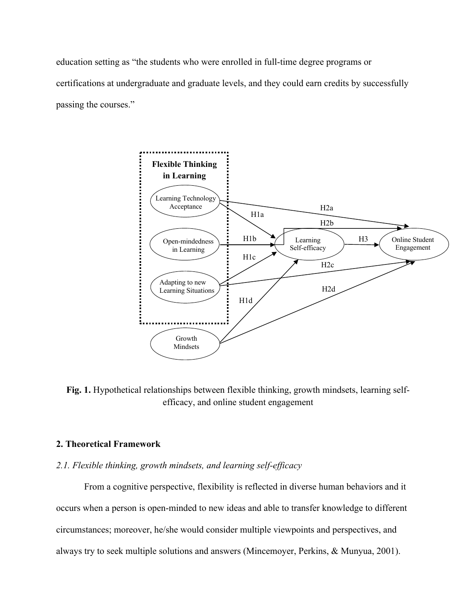education setting as "the students who were enrolled in full-time degree programs or certifications at undergraduate and graduate levels, and they could earn credits by successfully passing the courses."



**Fig. 1.** Hypothetical relationships between flexible thinking, growth mindsets, learning selfefficacy, and online student engagement

# **2. Theoretical Framework**

# *2.1. Flexible thinking, growth mindsets, and learning self-efficacy*

From a cognitive perspective, flexibility is reflected in diverse human behaviors and it occurs when a person is open-minded to new ideas and able to transfer knowledge to different circumstances; moreover, he/she would consider multiple viewpoints and perspectives, and always try to seek multiple solutions and answers (Mincemoyer, Perkins, & Munyua, 2001).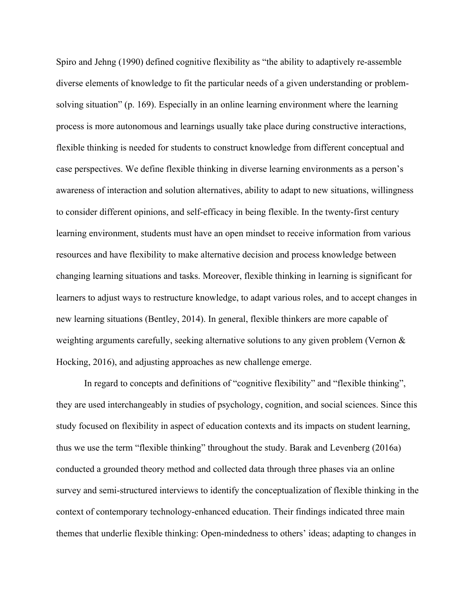Spiro and Jehng (1990) defined cognitive flexibility as "the ability to adaptively re-assemble diverse elements of knowledge to fit the particular needs of a given understanding or problemsolving situation" (p. 169). Especially in an online learning environment where the learning process is more autonomous and learnings usually take place during constructive interactions, flexible thinking is needed for students to construct knowledge from different conceptual and case perspectives. We define flexible thinking in diverse learning environments as a person's awareness of interaction and solution alternatives, ability to adapt to new situations, willingness to consider different opinions, and self-efficacy in being flexible. In the twenty-first century learning environment, students must have an open mindset to receive information from various resources and have flexibility to make alternative decision and process knowledge between changing learning situations and tasks. Moreover, flexible thinking in learning is significant for learners to adjust ways to restructure knowledge, to adapt various roles, and to accept changes in new learning situations (Bentley, 2014). In general, flexible thinkers are more capable of weighting arguments carefully, seeking alternative solutions to any given problem (Vernon & Hocking, 2016), and adjusting approaches as new challenge emerge.

In regard to concepts and definitions of "cognitive flexibility" and "flexible thinking", they are used interchangeably in studies of psychology, cognition, and social sciences. Since this study focused on flexibility in aspect of education contexts and its impacts on student learning, thus we use the term "flexible thinking" throughout the study. Barak and Levenberg (2016a) conducted a grounded theory method and collected data through three phases via an online survey and semi-structured interviews to identify the conceptualization of flexible thinking in the context of contemporary technology-enhanced education. Their findings indicated three main themes that underlie flexible thinking: Open-mindedness to others' ideas; adapting to changes in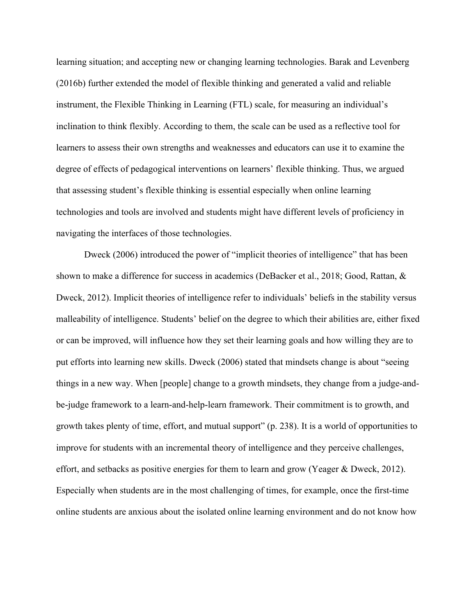learning situation; and accepting new or changing learning technologies. Barak and Levenberg (2016b) further extended the model of flexible thinking and generated a valid and reliable instrument, the Flexible Thinking in Learning (FTL) scale, for measuring an individual's inclination to think flexibly. According to them, the scale can be used as a reflective tool for learners to assess their own strengths and weaknesses and educators can use it to examine the degree of effects of pedagogical interventions on learners' flexible thinking. Thus, we argued that assessing student's flexible thinking is essential especially when online learning technologies and tools are involved and students might have different levels of proficiency in navigating the interfaces of those technologies.

Dweck (2006) introduced the power of "implicit theories of intelligence" that has been shown to make a difference for success in academics (DeBacker et al., 2018; Good, Rattan, & Dweck, 2012). Implicit theories of intelligence refer to individuals' beliefs in the stability versus malleability of intelligence. Students' belief on the degree to which their abilities are, either fixed or can be improved, will influence how they set their learning goals and how willing they are to put efforts into learning new skills. Dweck (2006) stated that mindsets change is about "seeing things in a new way. When [people] change to a growth mindsets, they change from a judge-andbe-judge framework to a learn-and-help-learn framework. Their commitment is to growth, and growth takes plenty of time, effort, and mutual support" (p. 238). It is a world of opportunities to improve for students with an incremental theory of intelligence and they perceive challenges, effort, and setbacks as positive energies for them to learn and grow (Yeager & Dweck, 2012). Especially when students are in the most challenging of times, for example, once the first-time online students are anxious about the isolated online learning environment and do not know how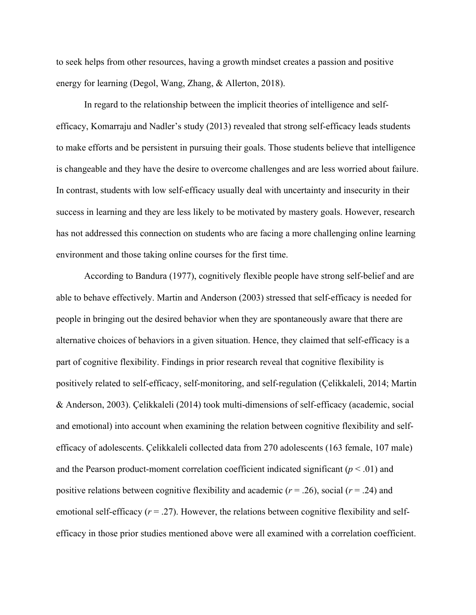to seek helps from other resources, having a growth mindset creates a passion and positive energy for learning (Degol, Wang, Zhang, & Allerton, 2018).

In regard to the relationship between the implicit theories of intelligence and selfefficacy, Komarraju and Nadler's study (2013) revealed that strong self-efficacy leads students to make efforts and be persistent in pursuing their goals. Those students believe that intelligence is changeable and they have the desire to overcome challenges and are less worried about failure. In contrast, students with low self-efficacy usually deal with uncertainty and insecurity in their success in learning and they are less likely to be motivated by mastery goals. However, research has not addressed this connection on students who are facing a more challenging online learning environment and those taking online courses for the first time.

According to Bandura (1977), cognitively flexible people have strong self-belief and are able to behave effectively. Martin and Anderson (2003) stressed that self-efficacy is needed for people in bringing out the desired behavior when they are spontaneously aware that there are alternative choices of behaviors in a given situation. Hence, they claimed that self-efficacy is a part of cognitive flexibility. Findings in prior research reveal that cognitive flexibility is positively related to self-efficacy, self-monitoring, and self-regulation (Çelikkaleli, 2014; Martin & Anderson, 2003). Çelikkaleli (2014) took multi-dimensions of self-efficacy (academic, social and emotional) into account when examining the relation between cognitive flexibility and selfefficacy of adolescents. Çelikkaleli collected data from 270 adolescents (163 female, 107 male) and the Pearson product-moment correlation coefficient indicated significant  $(p < .01)$  and positive relations between cognitive flexibility and academic  $(r = .26)$ , social  $(r = .24)$  and emotional self-efficacy  $(r = .27)$ . However, the relations between cognitive flexibility and selfefficacy in those prior studies mentioned above were all examined with a correlation coefficient.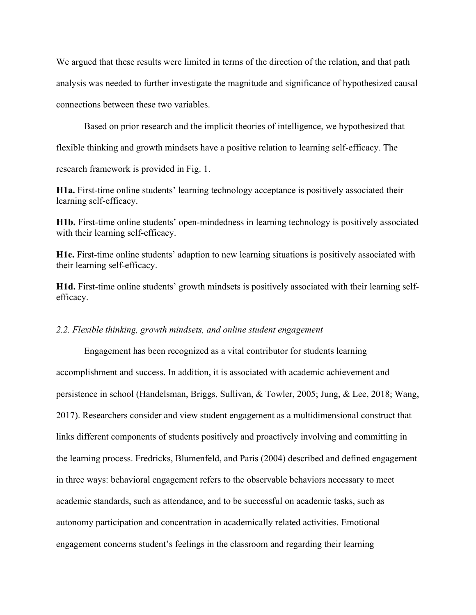We argued that these results were limited in terms of the direction of the relation, and that path analysis was needed to further investigate the magnitude and significance of hypothesized causal connections between these two variables.

Based on prior research and the implicit theories of intelligence, we hypothesized that flexible thinking and growth mindsets have a positive relation to learning self-efficacy. The

research framework is provided in Fig. 1.

**H1a.** First-time online students' learning technology acceptance is positively associated their learning self-efficacy.

**H1b.** First-time online students' open-mindedness in learning technology is positively associated with their learning self-efficacy.

**H1c.** First-time online students' adaption to new learning situations is positively associated with their learning self-efficacy.

**H1d.** First-time online students' growth mindsets is positively associated with their learning selfefficacy.

# *2.2. Flexible thinking, growth mindsets, and online student engagement*

Engagement has been recognized as a vital contributor for students learning accomplishment and success. In addition, it is associated with academic achievement and persistence in school (Handelsman, Briggs, Sullivan, & Towler, 2005; Jung, & Lee, 2018; Wang, 2017). Researchers consider and view student engagement as a multidimensional construct that links different components of students positively and proactively involving and committing in the learning process. Fredricks, Blumenfeld, and Paris (2004) described and defined engagement in three ways: behavioral engagement refers to the observable behaviors necessary to meet academic standards, such as attendance, and to be successful on academic tasks, such as autonomy participation and concentration in academically related activities. Emotional engagement concerns student's feelings in the classroom and regarding their learning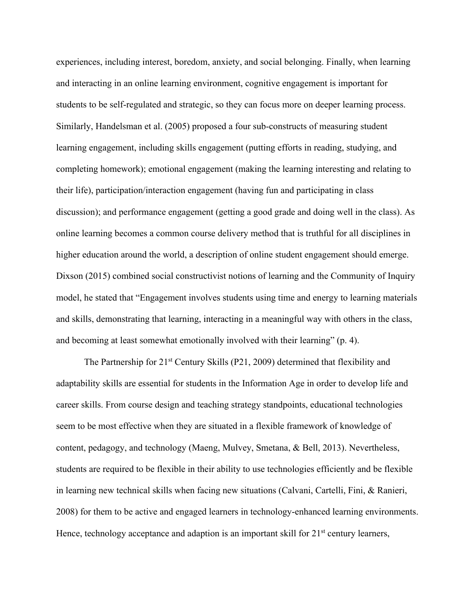experiences, including interest, boredom, anxiety, and social belonging. Finally, when learning and interacting in an online learning environment, cognitive engagement is important for students to be self-regulated and strategic, so they can focus more on deeper learning process. Similarly, Handelsman et al. (2005) proposed a four sub-constructs of measuring student learning engagement, including skills engagement (putting efforts in reading, studying, and completing homework); emotional engagement (making the learning interesting and relating to their life), participation/interaction engagement (having fun and participating in class discussion); and performance engagement (getting a good grade and doing well in the class). As online learning becomes a common course delivery method that is truthful for all disciplines in higher education around the world, a description of online student engagement should emerge. Dixson (2015) combined social constructivist notions of learning and the Community of Inquiry model, he stated that "Engagement involves students using time and energy to learning materials and skills, demonstrating that learning, interacting in a meaningful way with others in the class, and becoming at least somewhat emotionally involved with their learning" (p. 4).

The Partnership for 21<sup>st</sup> Century Skills (P21, 2009) determined that flexibility and adaptability skills are essential for students in the Information Age in order to develop life and career skills. From course design and teaching strategy standpoints, educational technologies seem to be most effective when they are situated in a flexible framework of knowledge of content, pedagogy, and technology (Maeng, Mulvey, Smetana, & Bell, 2013). Nevertheless, students are required to be flexible in their ability to use technologies efficiently and be flexible in learning new technical skills when facing new situations (Calvani, Cartelli, Fini, & Ranieri, 2008) for them to be active and engaged learners in technology-enhanced learning environments. Hence, technology acceptance and adaption is an important skill for  $21<sup>st</sup>$  century learners,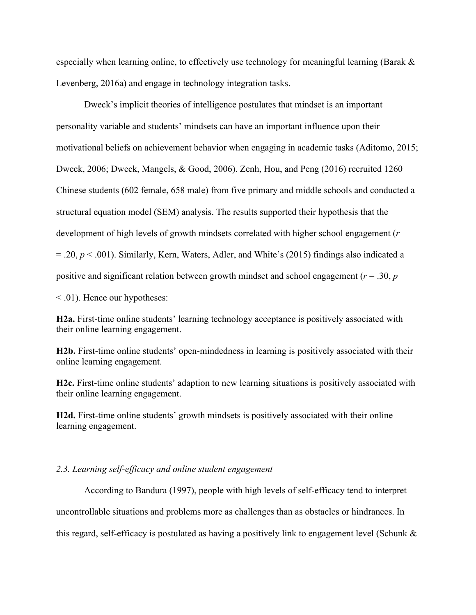especially when learning online, to effectively use technology for meaningful learning (Barak & Levenberg, 2016a) and engage in technology integration tasks.

Dweck's implicit theories of intelligence postulates that mindset is an important personality variable and students' mindsets can have an important influence upon their motivational beliefs on achievement behavior when engaging in academic tasks (Aditomo, 2015; Dweck, 2006; Dweck, Mangels, & Good, 2006). Zenh, Hou, and Peng (2016) recruited 1260 Chinese students (602 female, 658 male) from five primary and middle schools and conducted a structural equation model (SEM) analysis. The results supported their hypothesis that the development of high levels of growth mindsets correlated with higher school engagement (*r* = .20, *p* < .001). Similarly, Kern, Waters, Adler, and White's (2015) findings also indicated a positive and significant relation between growth mindset and school engagement (*r* = .30, *p*

< .01). Hence our hypotheses:

**H2a.** First-time online students' learning technology acceptance is positively associated with their online learning engagement.

**H2b.** First-time online students' open-mindedness in learning is positively associated with their online learning engagement.

**H2c.** First-time online students' adaption to new learning situations is positively associated with their online learning engagement.

**H2d.** First-time online students' growth mindsets is positively associated with their online learning engagement.

# *2.3. Learning self-efficacy and online student engagement*

According to Bandura (1997), people with high levels of self-efficacy tend to interpret uncontrollable situations and problems more as challenges than as obstacles or hindrances. In this regard, self-efficacy is postulated as having a positively link to engagement level (Schunk &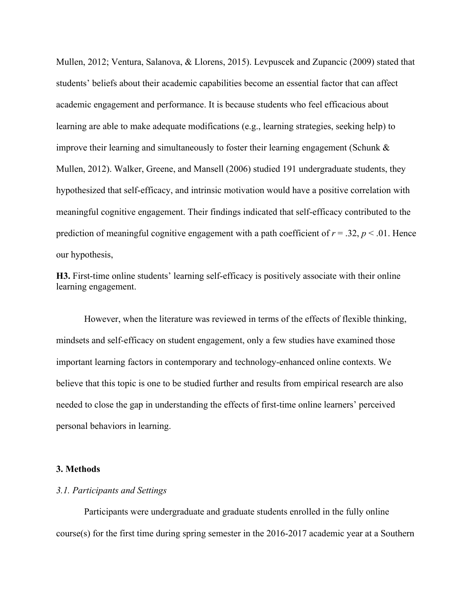Mullen, 2012; Ventura, Salanova, & Llorens, 2015). Levpuscek and Zupancic (2009) stated that students' beliefs about their academic capabilities become an essential factor that can affect academic engagement and performance. It is because students who feel efficacious about learning are able to make adequate modifications (e.g., learning strategies, seeking help) to improve their learning and simultaneously to foster their learning engagement (Schunk & Mullen, 2012). Walker, Greene, and Mansell (2006) studied 191 undergraduate students, they hypothesized that self-efficacy, and intrinsic motivation would have a positive correlation with meaningful cognitive engagement. Their findings indicated that self-efficacy contributed to the prediction of meaningful cognitive engagement with a path coefficient of  $r = .32$ ,  $p < .01$ . Hence our hypothesis,

**H3.** First-time online students' learning self-efficacy is positively associate with their online learning engagement.

However, when the literature was reviewed in terms of the effects of flexible thinking, mindsets and self-efficacy on student engagement, only a few studies have examined those important learning factors in contemporary and technology-enhanced online contexts. We believe that this topic is one to be studied further and results from empirical research are also needed to close the gap in understanding the effects of first-time online learners' perceived personal behaviors in learning.

## **3. Methods**

#### *3.1. Participants and Settings*

Participants were undergraduate and graduate students enrolled in the fully online course(s) for the first time during spring semester in the 2016-2017 academic year at a Southern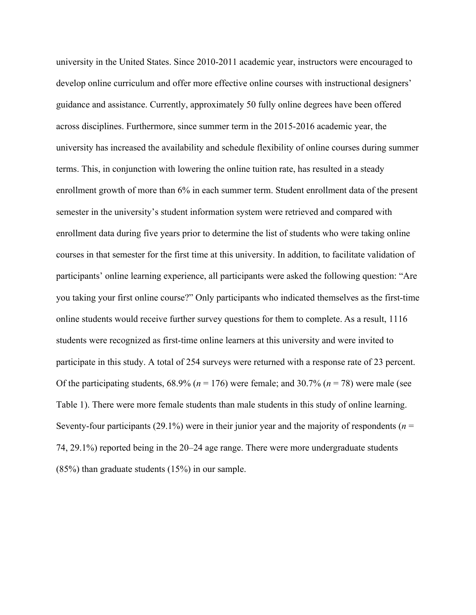university in the United States. Since 2010-2011 academic year, instructors were encouraged to develop online curriculum and offer more effective online courses with instructional designers' guidance and assistance. Currently, approximately 50 fully online degrees have been offered across disciplines. Furthermore, since summer term in the 2015-2016 academic year, the university has increased the availability and schedule flexibility of online courses during summer terms. This, in conjunction with lowering the online tuition rate, has resulted in a steady enrollment growth of more than 6% in each summer term. Student enrollment data of the present semester in the university's student information system were retrieved and compared with enrollment data during five years prior to determine the list of students who were taking online courses in that semester for the first time at this university. In addition, to facilitate validation of participants' online learning experience, all participants were asked the following question: "Are you taking your first online course?" Only participants who indicated themselves as the first-time online students would receive further survey questions for them to complete. As a result, 1116 students were recognized as first-time online learners at this university and were invited to participate in this study. A total of 254 surveys were returned with a response rate of 23 percent. Of the participating students,  $68.9\%$  ( $n = 176$ ) were female; and  $30.7\%$  ( $n = 78$ ) were male (see Table 1). There were more female students than male students in this study of online learning. Seventy-four participants (29.1%) were in their junior year and the majority of respondents (*n* = 74, 29.1%) reported being in the 20–24 age range. There were more undergraduate students (85%) than graduate students (15%) in our sample.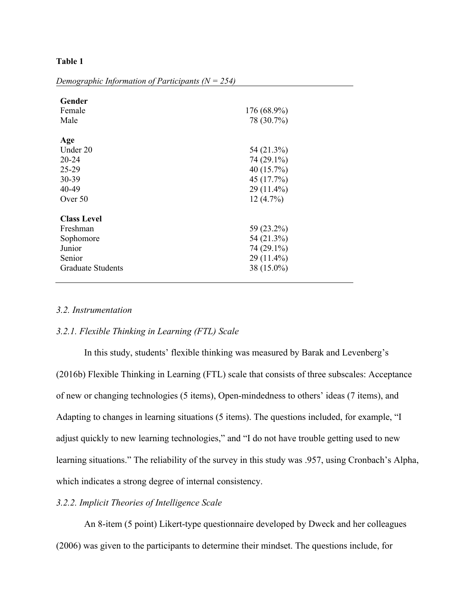# **Table 1**

| Gender<br>Female<br>Male | 176 (68.9%)<br>78 (30.7%) |
|--------------------------|---------------------------|
| Age                      |                           |
| Under 20                 | 54 (21.3%)                |
| $20 - 24$                | 74 (29.1%)                |
| $25 - 29$                | 40 (15.7%)                |
| 30-39                    | 45 (17.7%)                |
| 40-49                    | 29 (11.4%)                |
| Over 50                  | 12(4.7%)                  |
| <b>Class Level</b>       |                           |
| Freshman                 | 59 (23.2%)                |
| Sophomore                | 54 (21.3%)                |
| Junior                   | 74 (29.1%)                |
| Senior                   | 29 (11.4%)                |
| <b>Graduate Students</b> | 38 (15.0%)                |

*Demographic Information of Participants (N = 254)*

# *3.2. Instrumentation*

## *3.2.1. Flexible Thinking in Learning (FTL) Scale*

In this study, students' flexible thinking was measured by Barak and Levenberg's (2016b) Flexible Thinking in Learning (FTL) scale that consists of three subscales: Acceptance of new or changing technologies (5 items), Open-mindedness to others' ideas (7 items), and Adapting to changes in learning situations (5 items). The questions included, for example, "I adjust quickly to new learning technologies," and "I do not have trouble getting used to new learning situations." The reliability of the survey in this study was .957, using Cronbach's Alpha, which indicates a strong degree of internal consistency.

# *3.2.2. Implicit Theories of Intelligence Scale*

An 8-item (5 point) Likert-type questionnaire developed by Dweck and her colleagues (2006) was given to the participants to determine their mindset. The questions include, for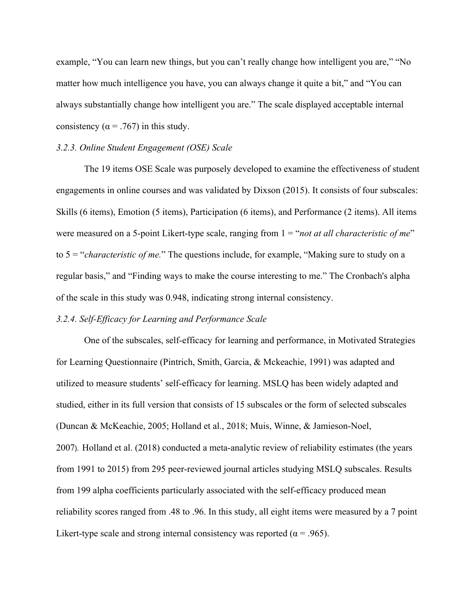example, "You can learn new things, but you can't really change how intelligent you are," "No matter how much intelligence you have, you can always change it quite a bit," and "You can always substantially change how intelligent you are." The scale displayed acceptable internal consistency ( $\alpha$  = .767) in this study.

#### *3.2.3. Online Student Engagement (OSE) Scale*

The 19 items OSE Scale was purposely developed to examine the effectiveness of student engagements in online courses and was validated by Dixson (2015). It consists of four subscales: Skills (6 items), Emotion (5 items), Participation (6 items), and Performance (2 items). All items were measured on a 5-point Likert-type scale, ranging from  $1 = \text{``not at all characteristic of me''}$ to 5 = "*characteristic of me.*" The questions include, for example, "Making sure to study on a regular basis," and "Finding ways to make the course interesting to me." The Cronbach's alpha of the scale in this study was 0.948, indicating strong internal consistency.

#### *3.2.4. Self-Efficacy for Learning and Performance Scale*

One of the subscales, self-efficacy for learning and performance, in Motivated Strategies for Learning Questionnaire (Pintrich, Smith, Garcia, & Mckeachie, 1991) was adapted and utilized to measure students' self-efficacy for learning. MSLQ has been widely adapted and studied, either in its full version that consists of 15 subscales or the form of selected subscales (Duncan & McKeachie, 2005; Holland et al., 2018; Muis, Winne, & Jamieson-Noel, 2007). Holland et al. (2018) conducted a meta-analytic review of reliability estimates (the years from 1991 to 2015) from 295 peer-reviewed journal articles studying MSLQ subscales. Results from 199 alpha coefficients particularly associated with the self-efficacy produced mean reliability scores ranged from .48 to .96. In this study, all eight items were measured by a 7 point Likert-type scale and strong internal consistency was reported ( $\alpha$  = .965).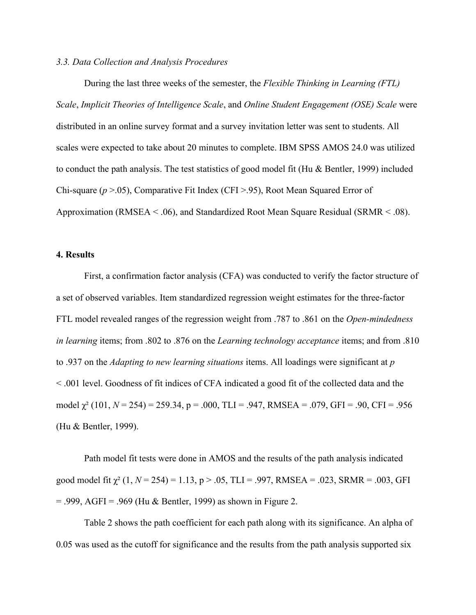# *3.3. Data Collection and Analysis Procedures*

During the last three weeks of the semester, the *Flexible Thinking in Learning (FTL) Scale*, *Implicit Theories of Intelligence Scale*, and *Online Student Engagement (OSE) Scale* were distributed in an online survey format and a survey invitation letter was sent to students. All scales were expected to take about 20 minutes to complete. IBM SPSS AMOS 24.0 was utilized to conduct the path analysis. The test statistics of good model fit (Hu & Bentler, 1999) included Chi-square (*p* >.05), Comparative Fit Index (CFI >.95), Root Mean Squared Error of Approximation (RMSEA < .06), and Standardized Root Mean Square Residual (SRMR < .08).

# **4. Results**

First, a confirmation factor analysis (CFA) was conducted to verify the factor structure of a set of observed variables. Item standardized regression weight estimates for the three-factor FTL model revealed ranges of the regression weight from .787 to .861 on the *Open-mindedness in learning* items; from .802 to .876 on the *Learning technology acceptance* items; and from .810 to .937 on the *Adapting to new learning situations* items. All loadings were significant at *p* < .001 level. Goodness of fit indices of CFA indicated a good fit of the collected data and the model χ² (101, *N* = 254) = 259.34, p = .000, TLI = .947, RMSEA = .079, GFI = .90, CFI = .956 (Hu & Bentler, 1999).

Path model fit tests were done in AMOS and the results of the path analysis indicated good model fit  $\chi^2$  (1,  $N = 254$ ) = 1.13, p > .05, TLI = .997, RMSEA = .023, SRMR = .003, GFI  $= .999, AGFI = .969$  (Hu & Bentler, 1999) as shown in Figure 2.

Table 2 shows the path coefficient for each path along with its significance. An alpha of 0.05 was used as the cutoff for significance and the results from the path analysis supported six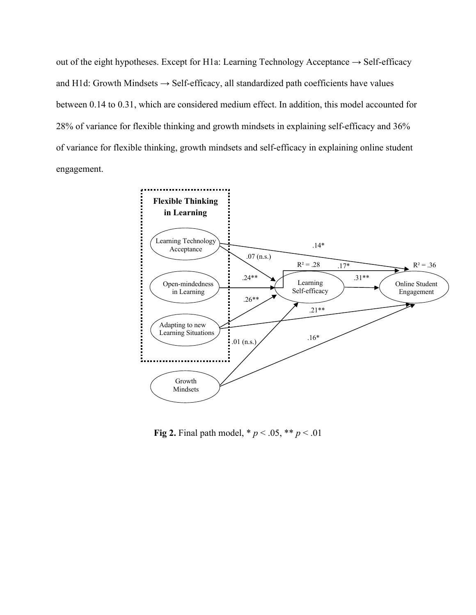out of the eight hypotheses. Except for H1a: Learning Technology Acceptance  $\rightarrow$  Self-efficacy and H1d: Growth Mindsets  $\rightarrow$  Self-efficacy, all standardized path coefficients have values between 0.14 to 0.31, which are considered medium effect. In addition, this model accounted for 28% of variance for flexible thinking and growth mindsets in explaining self-efficacy and 36% of variance for flexible thinking, growth mindsets and self-efficacy in explaining online student engagement.



**Fig 2.** Final path model,  $* p < .05, ** p < .01$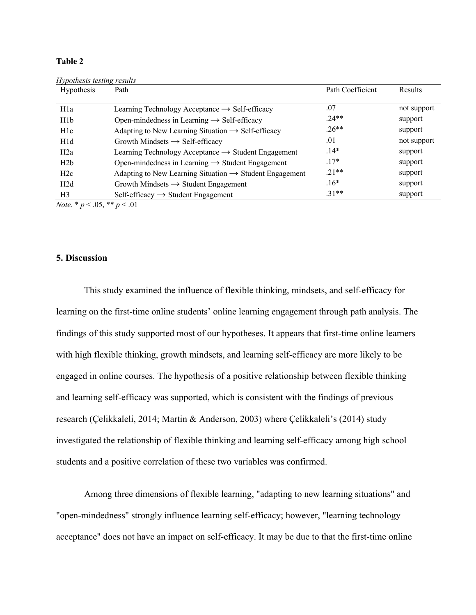#### **Table 2**

| Hypothesis testing results<br><b>Hypothesis</b> | Path                                                                | Path Coefficient | <b>Results</b> |
|-------------------------------------------------|---------------------------------------------------------------------|------------------|----------------|
| H <sub>1</sub> a                                | Learning Technology Acceptance $\rightarrow$ Self-efficacy          | .07              | not support    |
| H <sub>1</sub> b                                | Open-mindedness in Learning $\rightarrow$ Self-efficacy             | $.24**$          | support        |
| H1c                                             | Adapting to New Learning Situation $\rightarrow$ Self-efficacy      | $.26**$          | support        |
| H <sub>1</sub> d                                | Growth Mindsets $\rightarrow$ Self-efficacy                         | .01              | not support    |
| H2a                                             | Learning Technology Acceptance $\rightarrow$ Student Engagement     | $.14*$           | support        |
| H2b                                             | Open-mindedness in Learning $\rightarrow$ Student Engagement        | $.17*$           | support        |
| H2c                                             | Adapting to New Learning Situation $\rightarrow$ Student Engagement | $.21**$          | support        |
| H2d                                             | Growth Mindsets $\rightarrow$ Student Engagement                    | $.16*$           | support        |
| H <sub>3</sub>                                  | $Self\text{-efficacy} \rightarrow Student$ Engagement               | $.31**$          | support        |

*Note*. \* *p* < .05, \*\* *p* < .01

# **5. Discussion**

This study examined the influence of flexible thinking, mindsets, and self-efficacy for learning on the first-time online students' online learning engagement through path analysis. The findings of this study supported most of our hypotheses. It appears that first-time online learners with high flexible thinking, growth mindsets, and learning self-efficacy are more likely to be engaged in online courses. The hypothesis of a positive relationship between flexible thinking and learning self-efficacy was supported, which is consistent with the findings of previous research (Çelikkaleli, 2014; Martin & Anderson, 2003) where Çelikkaleli's (2014) study investigated the relationship of flexible thinking and learning self-efficacy among high school students and a positive correlation of these two variables was confirmed.

Among three dimensions of flexible learning, "adapting to new learning situations" and "open-mindedness" strongly influence learning self-efficacy; however, "learning technology acceptance" does not have an impact on self-efficacy. It may be due to that the first-time online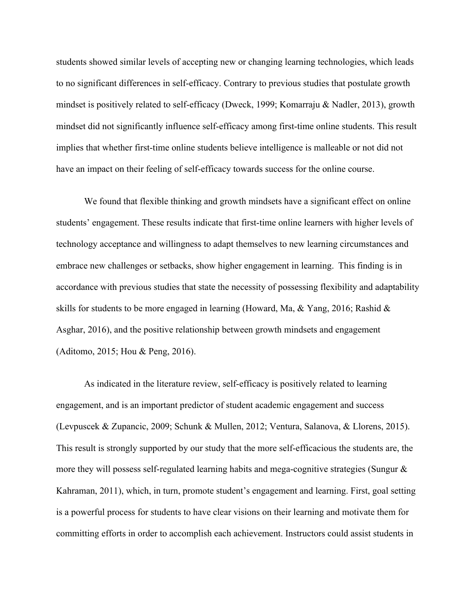students showed similar levels of accepting new or changing learning technologies, which leads to no significant differences in self-efficacy. Contrary to previous studies that postulate growth mindset is positively related to self-efficacy (Dweck, 1999; Komarraju & Nadler, 2013), growth mindset did not significantly influence self-efficacy among first-time online students. This result implies that whether first-time online students believe intelligence is malleable or not did not have an impact on their feeling of self-efficacy towards success for the online course.

We found that flexible thinking and growth mindsets have a significant effect on online students' engagement. These results indicate that first-time online learners with higher levels of technology acceptance and willingness to adapt themselves to new learning circumstances and embrace new challenges or setbacks, show higher engagement in learning. This finding is in accordance with previous studies that state the necessity of possessing flexibility and adaptability skills for students to be more engaged in learning (Howard, Ma, & Yang, 2016; Rashid & Asghar, 2016), and the positive relationship between growth mindsets and engagement (Aditomo, 2015; Hou & Peng, 2016).

As indicated in the literature review, self-efficacy is positively related to learning engagement, and is an important predictor of student academic engagement and success (Levpuscek & Zupancic, 2009; Schunk & Mullen, 2012; Ventura, Salanova, & Llorens, 2015). This result is strongly supported by our study that the more self-efficacious the students are, the more they will possess self-regulated learning habits and mega-cognitive strategies (Sungur & Kahraman, 2011), which, in turn, promote student's engagement and learning. First, goal setting is a powerful process for students to have clear visions on their learning and motivate them for committing efforts in order to accomplish each achievement. Instructors could assist students in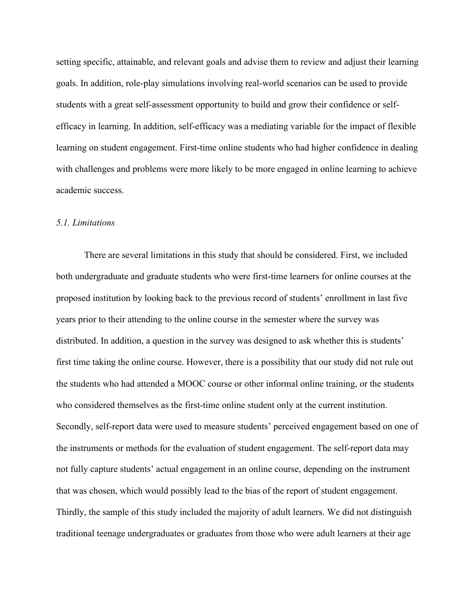setting specific, attainable, and relevant goals and advise them to review and adjust their learning goals. In addition, role-play simulations involving real-world scenarios can be used to provide students with a great self-assessment opportunity to build and grow their confidence or selfefficacy in learning. In addition, self-efficacy was a mediating variable for the impact of flexible learning on student engagement. First-time online students who had higher confidence in dealing with challenges and problems were more likely to be more engaged in online learning to achieve academic success.

## *5.1. Limitations*

There are several limitations in this study that should be considered. First, we included both undergraduate and graduate students who were first-time learners for online courses at the proposed institution by looking back to the previous record of students' enrollment in last five years prior to their attending to the online course in the semester where the survey was distributed. In addition, a question in the survey was designed to ask whether this is students' first time taking the online course. However, there is a possibility that our study did not rule out the students who had attended a MOOC course or other informal online training, or the students who considered themselves as the first-time online student only at the current institution. Secondly, self-report data were used to measure students' perceived engagement based on one of the instruments or methods for the evaluation of student engagement. The self-report data may not fully capture students' actual engagement in an online course, depending on the instrument that was chosen, which would possibly lead to the bias of the report of student engagement. Thirdly, the sample of this study included the majority of adult learners. We did not distinguish traditional teenage undergraduates or graduates from those who were adult learners at their age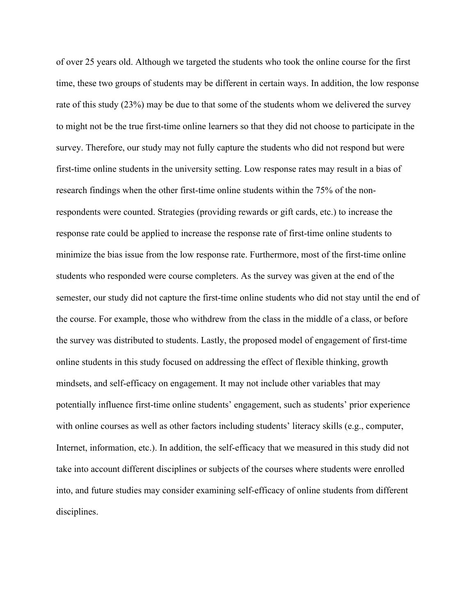of over 25 years old. Although we targeted the students who took the online course for the first time, these two groups of students may be different in certain ways. In addition, the low response rate of this study (23%) may be due to that some of the students whom we delivered the survey to might not be the true first-time online learners so that they did not choose to participate in the survey. Therefore, our study may not fully capture the students who did not respond but were first-time online students in the university setting. Low response rates may result in a bias of research findings when the other first-time online students within the 75% of the nonrespondents were counted. Strategies (providing rewards or gift cards, etc.) to increase the response rate could be applied to increase the response rate of first-time online students to minimize the bias issue from the low response rate. Furthermore, most of the first-time online students who responded were course completers. As the survey was given at the end of the semester, our study did not capture the first-time online students who did not stay until the end of the course. For example, those who withdrew from the class in the middle of a class, or before the survey was distributed to students. Lastly, the proposed model of engagement of first-time online students in this study focused on addressing the effect of flexible thinking, growth mindsets, and self-efficacy on engagement. It may not include other variables that may potentially influence first-time online students' engagement, such as students' prior experience with online courses as well as other factors including students' literacy skills (e.g., computer, Internet, information, etc.). In addition, the self-efficacy that we measured in this study did not take into account different disciplines or subjects of the courses where students were enrolled into, and future studies may consider examining self-efficacy of online students from different disciplines.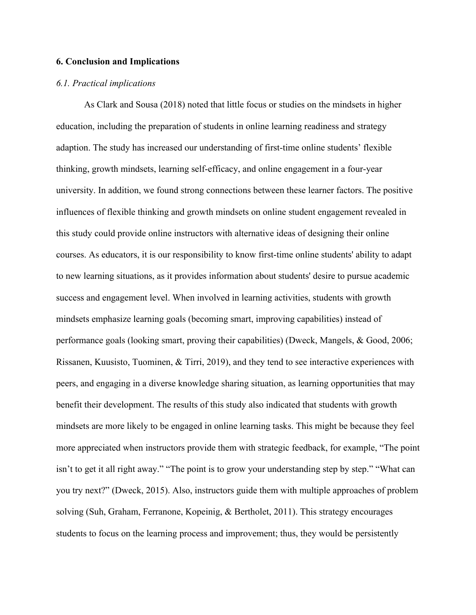# **6. Conclusion and Implications**

## *6.1. Practical implications*

As Clark and Sousa (2018) noted that little focus or studies on the mindsets in higher education, including the preparation of students in online learning readiness and strategy adaption. The study has increased our understanding of first-time online students' flexible thinking, growth mindsets, learning self-efficacy, and online engagement in a four-year university. In addition, we found strong connections between these learner factors. The positive influences of flexible thinking and growth mindsets on online student engagement revealed in this study could provide online instructors with alternative ideas of designing their online courses. As educators, it is our responsibility to know first-time online students' ability to adapt to new learning situations, as it provides information about students' desire to pursue academic success and engagement level. When involved in learning activities, students with growth mindsets emphasize learning goals (becoming smart, improving capabilities) instead of performance goals (looking smart, proving their capabilities) (Dweck, Mangels, & Good, 2006; Rissanen, Kuusisto, Tuominen, & Tirri, 2019), and they tend to see interactive experiences with peers, and engaging in a diverse knowledge sharing situation, as learning opportunities that may benefit their development. The results of this study also indicated that students with growth mindsets are more likely to be engaged in online learning tasks. This might be because they feel more appreciated when instructors provide them with strategic feedback, for example, "The point isn't to get it all right away." "The point is to grow your understanding step by step." "What can you try next?" (Dweck, 2015). Also, instructors guide them with multiple approaches of problem solving (Suh, Graham, Ferranone, Kopeinig, & Bertholet, 2011). This strategy encourages students to focus on the learning process and improvement; thus, they would be persistently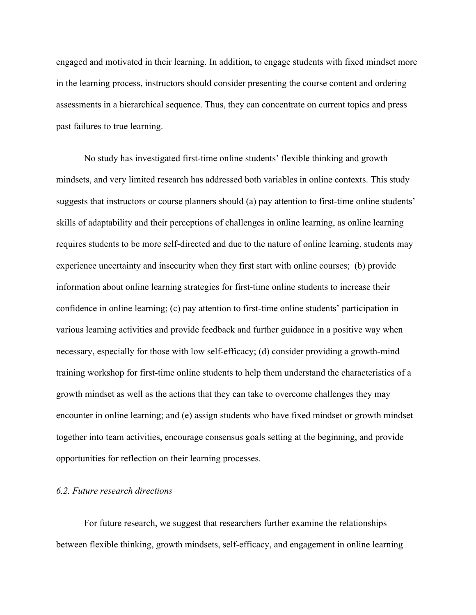engaged and motivated in their learning. In addition, to engage students with fixed mindset more in the learning process, instructors should consider presenting the course content and ordering assessments in a hierarchical sequence. Thus, they can concentrate on current topics and press past failures to true learning.

No study has investigated first-time online students' flexible thinking and growth mindsets, and very limited research has addressed both variables in online contexts. This study suggests that instructors or course planners should (a) pay attention to first-time online students' skills of adaptability and their perceptions of challenges in online learning, as online learning requires students to be more self-directed and due to the nature of online learning, students may experience uncertainty and insecurity when they first start with online courses; (b) provide information about online learning strategies for first-time online students to increase their confidence in online learning; (c) pay attention to first-time online students' participation in various learning activities and provide feedback and further guidance in a positive way when necessary, especially for those with low self-efficacy; (d) consider providing a growth-mind training workshop for first-time online students to help them understand the characteristics of a growth mindset as well as the actions that they can take to overcome challenges they may encounter in online learning; and (e) assign students who have fixed mindset or growth mindset together into team activities, encourage consensus goals setting at the beginning, and provide opportunities for reflection on their learning processes.

# *6.2. Future research directions*

For future research, we suggest that researchers further examine the relationships between flexible thinking, growth mindsets, self-efficacy, and engagement in online learning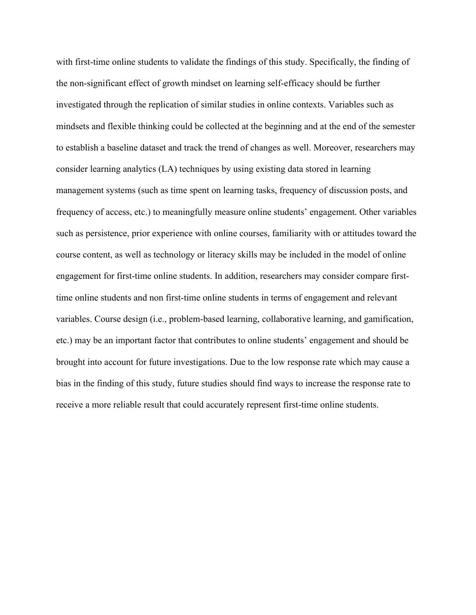with first-time online students to validate the findings of this study. Specifically, the finding of the non-significant effect of growth mindset on learning self-efficacy should be further investigated through the replication of similar studies in online contexts. Variables such as mindsets and flexible thinking could be collected at the beginning and at the end of the semester to establish a baseline dataset and track the trend of changes as well. Moreover, researchers may consider learning analytics (LA) techniques by using existing data stored in learning management systems (such as time spent on learning tasks, frequency of discussion posts, and frequency of access, etc.) to meaningfully measure online students' engagement. Other variables such as persistence, prior experience with online courses, familiarity with or attitudes toward the course content, as well as technology or literacy skills may be included in the model of online engagement for first-time online students. In addition, researchers may consider compare firsttime online students and non first-time online students in terms of engagement and relevant variables. Course design (i.e., problem-based learning, collaborative learning, and gamification, etc.) may be an important factor that contributes to online students' engagement and should be brought into account for future investigations. Due to the low response rate which may cause a bias in the finding of this study, future studies should find ways to increase the response rate to receive a more reliable result that could accurately represent first-time online students.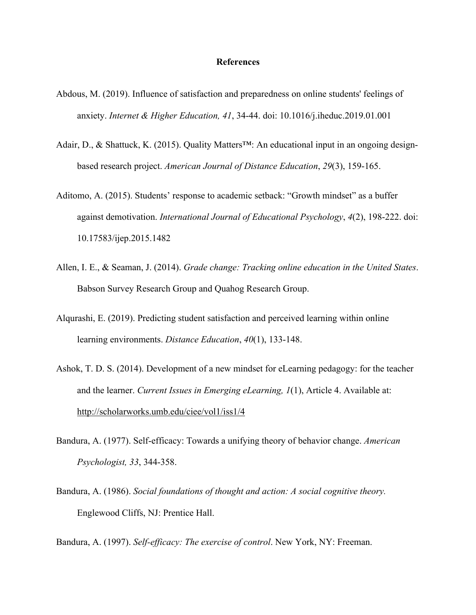## **References**

- Abdous, M. (2019). Influence of satisfaction and preparedness on online students' feelings of anxiety. *Internet & Higher Education, 41*, 34-44. doi: 10.1016/j.iheduc.2019.01.001
- Adair, D., & Shattuck, K. (2015). Quality Matters™: An educational input in an ongoing designbased research project. *American Journal of Distance Education*, *29*(3), 159-165.
- Aditomo, A. (2015). Students' response to academic setback: "Growth mindset" as a buffer against demotivation. *International Journal of Educational Psychology*, *4*(2), 198-222. doi: 10.17583/ijep.2015.1482
- Allen, I. E., & Seaman, J. (2014). *Grade change: Tracking online education in the United States*. Babson Survey Research Group and Quahog Research Group.
- Alqurashi, E. (2019). Predicting student satisfaction and perceived learning within online learning environments. *Distance Education*, *40*(1), 133-148.
- Ashok, T. D. S. (2014). Development of a new mindset for eLearning pedagogy: for the teacher and the learner. *Current Issues in Emerging eLearning, 1*(1), Article 4. Available at: http://scholarworks.umb.edu/ciee/vol1/iss1/4
- Bandura, A. (1977). Self-efficacy: Towards a unifying theory of behavior change. *American Psychologist, 33*, 344-358.
- Bandura, A. (1986). *Social foundations of thought and action: A social cognitive theory.* Englewood Cliffs, NJ: Prentice Hall.

Bandura, A. (1997). *Self-efficacy: The exercise of control*. New York, NY: Freeman.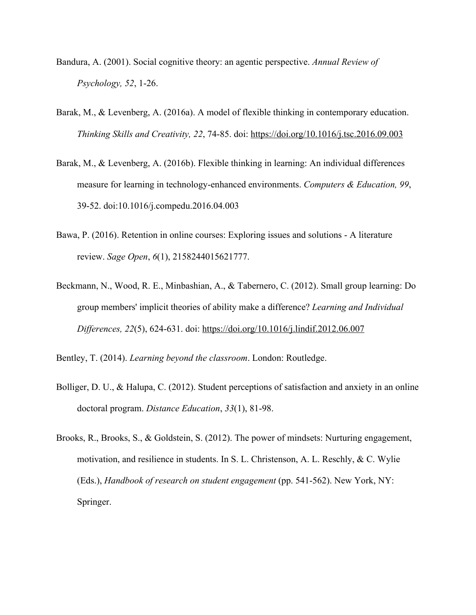- Bandura, A. (2001). Social cognitive theory: an agentic perspective. *Annual Review of Psychology, 52*, 1-26.
- Barak, M., & Levenberg, A. (2016a). A model of flexible thinking in contemporary education. *Thinking Skills and Creativity, 22*, 74-85. doi: https://doi.org/10.1016/j.tsc.2016.09.003
- Barak, M., & Levenberg, A. (2016b). Flexible thinking in learning: An individual differences measure for learning in technology-enhanced environments. *Computers & Education, 99*, 39-52. doi:10.1016/j.compedu.2016.04.003
- Bawa, P. (2016). Retention in online courses: Exploring issues and solutions A literature review. *Sage Open*, *6*(1), 2158244015621777.
- Beckmann, N., Wood, R. E., Minbashian, A., & Tabernero, C. (2012). Small group learning: Do group members' implicit theories of ability make a difference? *Learning and Individual Differences, 22*(5), 624-631. doi: https://doi.org/10.1016/j.lindif.2012.06.007

Bentley, T. (2014). *Learning beyond the classroom*. London: Routledge.

- Bolliger, D. U., & Halupa, C. (2012). Student perceptions of satisfaction and anxiety in an online doctoral program. *Distance Education*, *33*(1), 81-98.
- Brooks, R., Brooks, S., & Goldstein, S. (2012). The power of mindsets: Nurturing engagement, motivation, and resilience in students. In S. L. Christenson, A. L. Reschly, & C. Wylie (Eds.), *Handbook of research on student engagement* (pp. 541-562). New York, NY: Springer.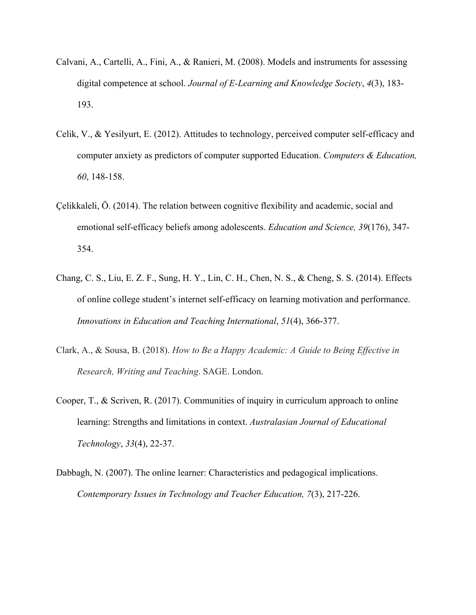- Calvani, A., Cartelli, A., Fini, A., & Ranieri, M. (2008). Models and instruments for assessing digital competence at school. *Journal of E-Learning and Knowledge Society*, *4*(3), 183- 193.
- Celik, V., & Yesilyurt, E. (2012). Attitudes to technology, perceived computer self-efficacy and computer anxiety as predictors of computer supported Education. *Computers & Education, 60*, 148-158.
- Çelikkaleli, Ö. (2014). The relation between cognitive flexibility and academic, social and emotional self-efficacy beliefs among adolescents. *Education and Science, 39*(176), 347- 354.
- Chang, C. S., Liu, E. Z. F., Sung, H. Y., Lin, C. H., Chen, N. S., & Cheng, S. S. (2014). Effects of online college student's internet self-efficacy on learning motivation and performance. *Innovations in Education and Teaching International*, *51*(4), 366-377.
- Clark, A., & Sousa, B. (2018). *How to Be a Happy Academic: A Guide to Being Effective in Research, Writing and Teaching*. SAGE. London.
- Cooper, T., & Scriven, R. (2017). Communities of inquiry in curriculum approach to online learning: Strengths and limitations in context. *Australasian Journal of Educational Technology*, *33*(4), 22-37.
- Dabbagh, N. (2007). The online learner: Characteristics and pedagogical implications. *Contemporary Issues in Technology and Teacher Education, 7*(3), 217-226.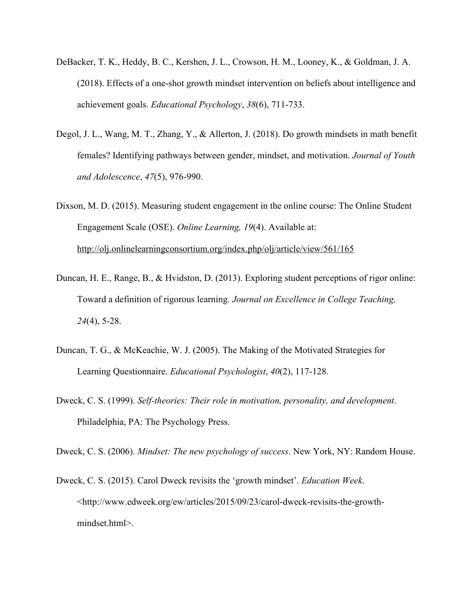- DeBacker, T. K., Heddy, B. C., Kershen, J. L., Crowson, H. M., Looney, K., & Goldman, J. A. (2018). Effects of a one-shot growth mindset intervention on beliefs about intelligence and achievement goals. *Educational Psychology*, *38*(6), 711-733.
- Degol, J. L., Wang, M. T., Zhang, Y., & Allerton, J. (2018). Do growth mindsets in math benefit females? Identifying pathways between gender, mindset, and motivation. *Journal of Youth and Adolescence*, *47*(5), 976-990.
- Dixson, M. D. (2015). Measuring student engagement in the online course: The Online Student Engagement Scale (OSE). *Online Learning, 19*(4). Available at: http://olj.onlinelearningconsortium.org/index.php/olj/article/view/561/165
- Duncan, H. E., Range, B., & Hvidston, D. (2013). Exploring student perceptions of rigor online: Toward a definition of rigorous learning. *Journal on Excellence in College Teaching, 24*(4), 5-28.
- Duncan, T. G., & McKeachie, W. J. (2005). The Making of the Motivated Strategies for Learning Questionnaire. *Educational Psychologist*, *40*(2), 117-128.
- Dweck, C. S. (1999). *Self-theories: Their role in motivation, personality, and development*. Philadelphia, PA: The Psychology Press.

Dweck, C. S. (2006). *Mindset: The new psychology of success*. New York, NY: Random House.

Dweck, C. S. (2015). Carol Dweck revisits the 'growth mindset'. *Education Week*. <http://www.edweek.org/ew/articles/2015/09/23/carol-dweck-revisits-the-growthmindset.html>.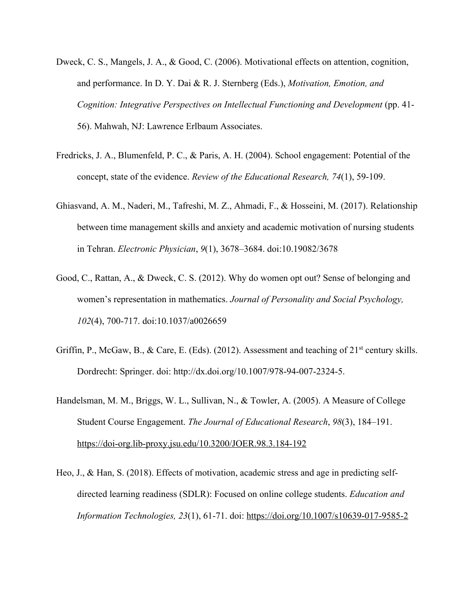- Dweck, C. S., Mangels, J. A., & Good, C. (2006). Motivational effects on attention, cognition, and performance. In D. Y. Dai & R. J. Sternberg (Eds.), *Motivation, Emotion, and Cognition: Integrative Perspectives on Intellectual Functioning and Development* (pp. 41-56). Mahwah, NJ: Lawrence Erlbaum Associates.
- Fredricks, J. A., Blumenfeld, P. C., & Paris, A. H. (2004). School engagement: Potential of the concept, state of the evidence. *Review of the Educational Research, 74*(1), 59-109.
- Ghiasvand, A. M., Naderi, M., Tafreshi, M. Z., Ahmadi, F., & Hosseini, M. (2017). Relationship between time management skills and anxiety and academic motivation of nursing students in Tehran. *Electronic Physician*, *9*(1), 3678–3684. doi:10.19082/3678
- Good, C., Rattan, A., & Dweck, C. S. (2012). Why do women opt out? Sense of belonging and women's representation in mathematics. *Journal of Personality and Social Psychology, 102*(4), 700-717. doi:10.1037/a0026659
- Griffin, P., McGaw, B., & Care, E. (Eds). (2012). Assessment and teaching of  $21<sup>st</sup>$  century skills. Dordrecht: Springer. doi: http://dx.doi.org/10.1007/978-94-007-2324-5.
- Handelsman, M. M., Briggs, W. L., Sullivan, N., & Towler, A. (2005). A Measure of College Student Course Engagement. *The Journal of Educational Research*, *98*(3), 184–191. https://doi-org.lib-proxy.jsu.edu/10.3200/JOER.98.3.184-192
- Heo, J., & Han, S. (2018). Effects of motivation, academic stress and age in predicting selfdirected learning readiness (SDLR): Focused on online college students. *Education and Information Technologies, 23*(1), 61-71. doi: https://doi.org/10.1007/s10639-017-9585-2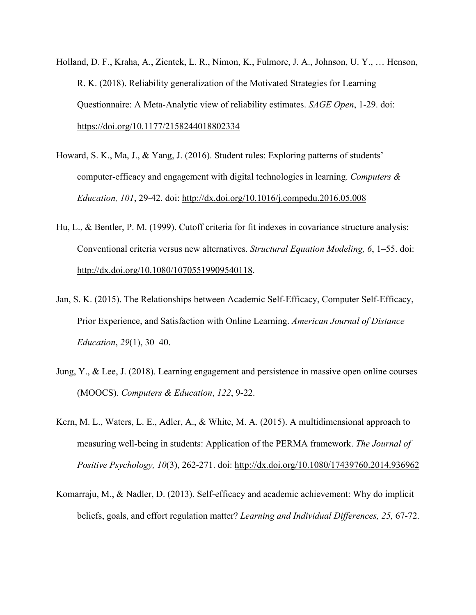- Holland, D. F., Kraha, A., Zientek, L. R., Nimon, K., Fulmore, J. A., Johnson, U. Y., … Henson, R. K. (2018). Reliability generalization of the Motivated Strategies for Learning Questionnaire: A Meta-Analytic view of reliability estimates. *SAGE Open*, 1-29. doi: https://doi.org/10.1177/2158244018802334
- Howard, S. K., Ma, J., & Yang, J. (2016). Student rules: Exploring patterns of students' computer-efficacy and engagement with digital technologies in learning. *Computers & Education, 101*, 29-42. doi: http://dx.doi.org/10.1016/j.compedu.2016.05.008
- Hu, L., & Bentler, P. M. (1999). Cutoff criteria for fit indexes in covariance structure analysis: Conventional criteria versus new alternatives. *Structural Equation Modeling, 6*, 1–55. doi: http://dx.doi.org/10.1080/10705519909540118.
- Jan, S. K. (2015). The Relationships between Academic Self-Efficacy, Computer Self-Efficacy, Prior Experience, and Satisfaction with Online Learning. *American Journal of Distance Education*, *29*(1), 30–40.
- Jung, Y., & Lee, J. (2018). Learning engagement and persistence in massive open online courses (MOOCS). *Computers & Education*, *122*, 9-22.
- Kern, M. L., Waters, L. E., Adler, A., & White, M. A. (2015). A multidimensional approach to measuring well-being in students: Application of the PERMA framework. *The Journal of Positive Psychology, 10*(3), 262-271. doi: http://dx.doi.org/10.1080/17439760.2014.936962
- Komarraju, M., & Nadler, D. (2013). Self-efficacy and academic achievement: Why do implicit beliefs, goals, and effort regulation matter? *Learning and Individual Differences, 25,* 67-72.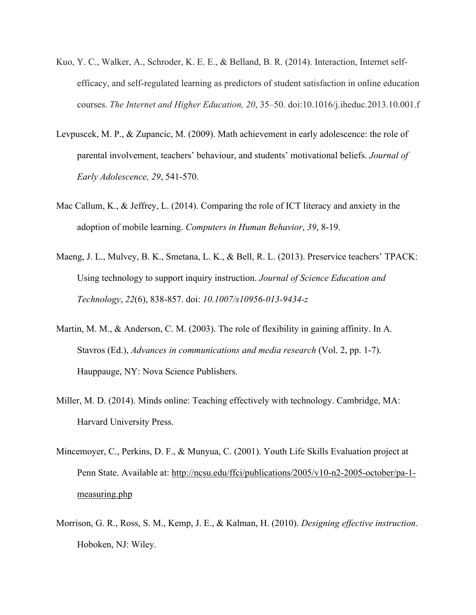- Kuo, Y. C., Walker, A., Schroder, K. E. E., & Belland, B. R. (2014). Interaction, Internet selfefficacy, and self-regulated learning as predictors of student satisfaction in online education courses. *The Internet and Higher Education, 20*, 35–50. doi:10.1016/j.iheduc.2013.10.001.f
- Levpuscek, M. P., & Zupancic, M. (2009). Math achievement in early adolescence: the role of parental involvement, teachers' behaviour, and students' motivational beliefs. *Journal of Early Adolescence, 29*, 541-570.
- Mac Callum, K., & Jeffrey, L. (2014). Comparing the role of ICT literacy and anxiety in the adoption of mobile learning. *Computers in Human Behavior*, *39*, 8-19.
- Maeng, J. L., Mulvey, B. K., Smetana, L. K., & Bell, R. L. (2013). Preservice teachers' TPACK: Using technology to support inquiry instruction. *Journal of Science Education and Technology*, *22*(6), 838-857. doi: *10.1007/s10956-013-9434-z*
- Martin, M. M., & Anderson, C. M. (2003). The role of flexibility in gaining affinity. In A. Stavros (Ed.), *Advances in communications and media research* (Vol. 2, pp. 1-7). Hauppauge, NY: Nova Science Publishers.
- Miller, M. D. (2014). Minds online: Teaching effectively with technology. Cambridge, MA: Harvard University Press.
- Mincemoyer, C., Perkins, D. F., & Munyua, C. (2001). Youth Life Skills Evaluation project at Penn State. Available at: http://ncsu.edu/ffci/publications/2005/v10-n2-2005-october/pa-1 measuring.php
- Morrison, G. R., Ross, S. M., Kemp, J. E., & Kalman, H. (2010). *Designing effective instruction*. Hoboken, NJ: Wiley.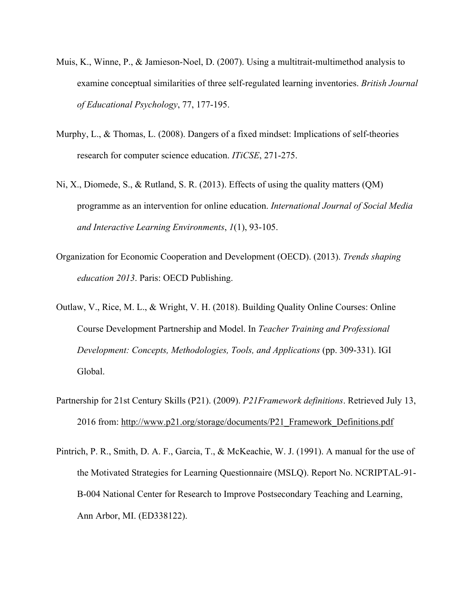- Muis, K., Winne, P., & Jamieson-Noel, D. (2007). Using a multitrait-multimethod analysis to examine conceptual similarities of three self-regulated learning inventories. *British Journal of Educational Psychology*, 77, 177-195.
- Murphy, L., & Thomas, L. (2008). Dangers of a fixed mindset: Implications of self-theories research for computer science education. *ITiCSE*, 271-275.
- Ni, X., Diomede, S., & Rutland, S. R. (2013). Effects of using the quality matters (QM) programme as an intervention for online education. *International Journal of Social Media and Interactive Learning Environments*, *1*(1), 93-105.
- Organization for Economic Cooperation and Development (OECD). (2013). *Trends shaping education 2013*. Paris: OECD Publishing.
- Outlaw, V., Rice, M. L., & Wright, V. H. (2018). Building Quality Online Courses: Online Course Development Partnership and Model. In *Teacher Training and Professional Development: Concepts, Methodologies, Tools, and Applications* (pp. 309-331). IGI Global.
- Partnership for 21st Century Skills (P21). (2009). *P21Framework definitions*. Retrieved July 13, 2016 from: http://www.p21.org/storage/documents/P21\_Framework\_Definitions.pdf
- Pintrich, P. R., Smith, D. A. F., Garcia, T., & McKeachie, W. J. (1991). A manual for the use of the Motivated Strategies for Learning Questionnaire (MSLQ). Report No. NCRIPTAL-91- B-004 National Center for Research to Improve Postsecondary Teaching and Learning, Ann Arbor, MI. (ED338122).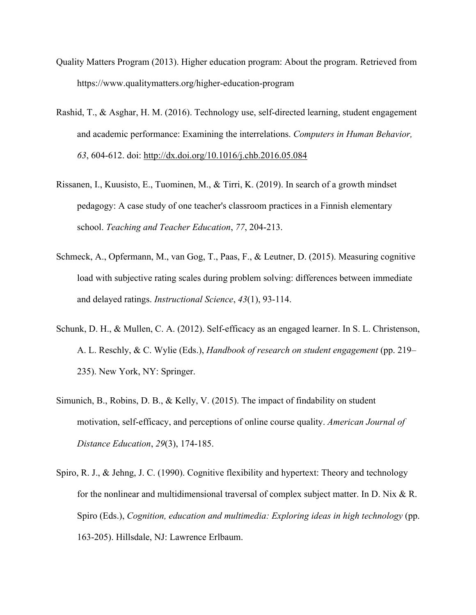- Quality Matters Program (2013). Higher education program: About the program. Retrieved from https://www.qualitymatters.org/higher-education-program
- Rashid, T., & Asghar, H. M. (2016). Technology use, self-directed learning, student engagement and academic performance: Examining the interrelations. *Computers in Human Behavior, 63*, 604-612. doi: http://dx.doi.org/10.1016/j.chb.2016.05.084
- Rissanen, I., Kuusisto, E., Tuominen, M., & Tirri, K. (2019). In search of a growth mindset pedagogy: A case study of one teacher's classroom practices in a Finnish elementary school. *Teaching and Teacher Education*, *77*, 204-213.
- Schmeck, A., Opfermann, M., van Gog, T., Paas, F., & Leutner, D. (2015). Measuring cognitive load with subjective rating scales during problem solving: differences between immediate and delayed ratings. *Instructional Science*, *43*(1), 93-114.
- Schunk, D. H., & Mullen, C. A. (2012). Self-efficacy as an engaged learner. In S. L. Christenson, A. L. Reschly, & C. Wylie (Eds.), *Handbook of research on student engagement* (pp. 219– 235). New York, NY: Springer.
- Simunich, B., Robins, D. B., & Kelly, V. (2015). The impact of findability on student motivation, self-efficacy, and perceptions of online course quality. *American Journal of Distance Education*, *29*(3), 174-185.
- Spiro, R. J., & Jehng, J. C. (1990). Cognitive flexibility and hypertext: Theory and technology for the nonlinear and multidimensional traversal of complex subject matter. In D. Nix  $\&$  R. Spiro (Eds.), *Cognition, education and multimedia: Exploring ideas in high technology* (pp. 163-205). Hillsdale, NJ: Lawrence Erlbaum.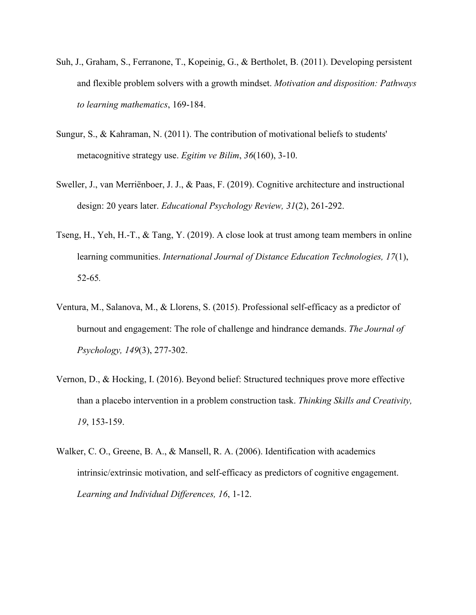- Suh, J., Graham, S., Ferranone, T., Kopeinig, G., & Bertholet, B. (2011). Developing persistent and flexible problem solvers with a growth mindset. *Motivation and disposition: Pathways to learning mathematics*, 169-184.
- Sungur, S., & Kahraman, N. (2011). The contribution of motivational beliefs to students' metacognitive strategy use. *Egitim ve Bilim*, *36*(160), 3-10.
- Sweller, J., van Merriënboer, J. J., & Paas, F. (2019). Cognitive architecture and instructional design: 20 years later. *Educational Psychology Review, 31*(2), 261-292.
- Tseng, H., Yeh, H.-T., & Tang, Y. (2019). A close look at trust among team members in online learning communities. *International Journal of Distance Education Technologies, 17*(1), 52-65*.*
- Ventura, M., Salanova, M., & Llorens, S. (2015). Professional self-efficacy as a predictor of burnout and engagement: The role of challenge and hindrance demands. *The Journal of Psychology, 149*(3), 277-302.
- Vernon, D., & Hocking, I. (2016). Beyond belief: Structured techniques prove more effective than a placebo intervention in a problem construction task. *Thinking Skills and Creativity, 19*, 153-159.
- Walker, C. O., Greene, B. A., & Mansell, R. A. (2006). Identification with academics intrinsic/extrinsic motivation, and self-efficacy as predictors of cognitive engagement. *Learning and Individual Differences, 16*, 1-12.